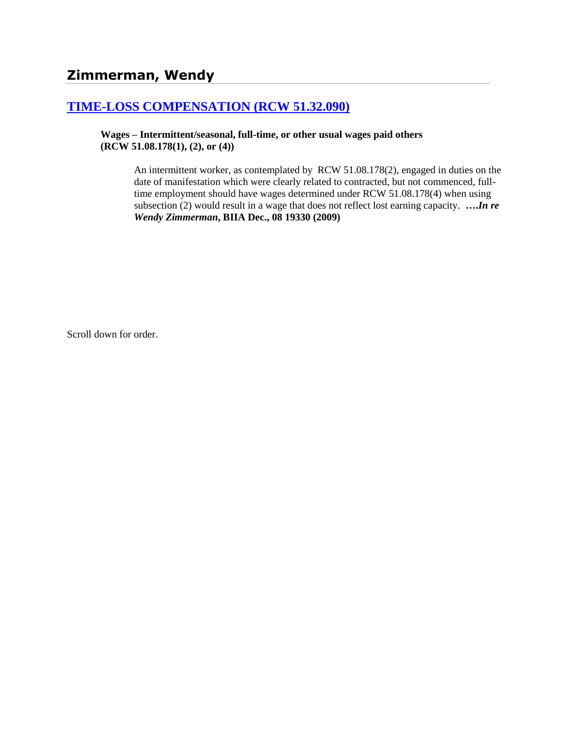# **[TIME-LOSS COMPENSATION \(RCW 51.32.090\)](http://www.biia.wa.gov/SDSubjectIndex.html#TIME_LOSS_COMPENSATION)**

**Wages – Intermittent/seasonal, full-time, or other usual wages paid others (RCW 51.08.178(1), (2), or (4))**

> An intermittent worker, as contemplated by RCW 51.08.178(2), engaged in duties on the date of manifestation which were clearly related to contracted, but not commenced, fulltime employment should have wages determined under RCW 51.08.178(4) when using subsection (2) would result in a wage that does not reflect lost earning capacity. **….***In re Wendy Zimmerman***, BIIA Dec., 08 19330 (2009)**

Scroll down for order.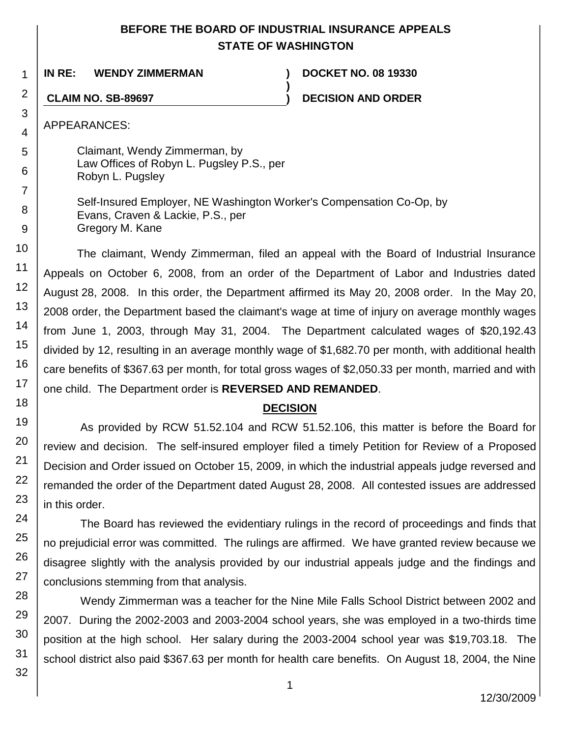## **BEFORE THE BOARD OF INDUSTRIAL INSURANCE APPEALS STATE OF WASHINGTON**

**)**

**IN RE: WENDY ZIMMERMAN ) DOCKET NO. 08 19330**

**CLAIM NO. SB-89697 ) DECISION AND ORDER**

APPEARANCES:

Claimant, Wendy Zimmerman, by Law Offices of Robyn L. Pugsley P.S., per Robyn L. Pugsley

Self-Insured Employer, NE Washington Worker's Compensation Co-Op, by Evans, Craven & Lackie, P.S., per Gregory M. Kane

The claimant, Wendy Zimmerman, filed an appeal with the Board of Industrial Insurance Appeals on October 6, 2008, from an order of the Department of Labor and Industries dated August 28, 2008. In this order, the Department affirmed its May 20, 2008 order. In the May 20, 2008 order, the Department based the claimant's wage at time of injury on average monthly wages from June 1, 2003, through May 31, 2004. The Department calculated wages of \$20,192.43 divided by 12, resulting in an average monthly wage of \$1,682.70 per month, with additional health care benefits of \$367.63 per month, for total gross wages of \$2,050.33 per month, married and with one child. The Department order is **REVERSED AND REMANDED**.

## **DECISION**

As provided by RCW 51.52.104 and RCW 51.52.106, this matter is before the Board for review and decision. The self-insured employer filed a timely Petition for Review of a Proposed Decision and Order issued on October 15, 2009, in which the industrial appeals judge reversed and remanded the order of the Department dated August 28, 2008. All contested issues are addressed in this order.

The Board has reviewed the evidentiary rulings in the record of proceedings and finds that no prejudicial error was committed. The rulings are affirmed. We have granted review because we disagree slightly with the analysis provided by our industrial appeals judge and the findings and conclusions stemming from that analysis.

Wendy Zimmerman was a teacher for the Nine Mile Falls School District between 2002 and 2007. During the 2002-2003 and 2003-2004 school years, she was employed in a two-thirds time position at the high school. Her salary during the 2003-2004 school year was \$19,703.18. The school district also paid \$367.63 per month for health care benefits. On August 18, 2004, the Nine

1

2

3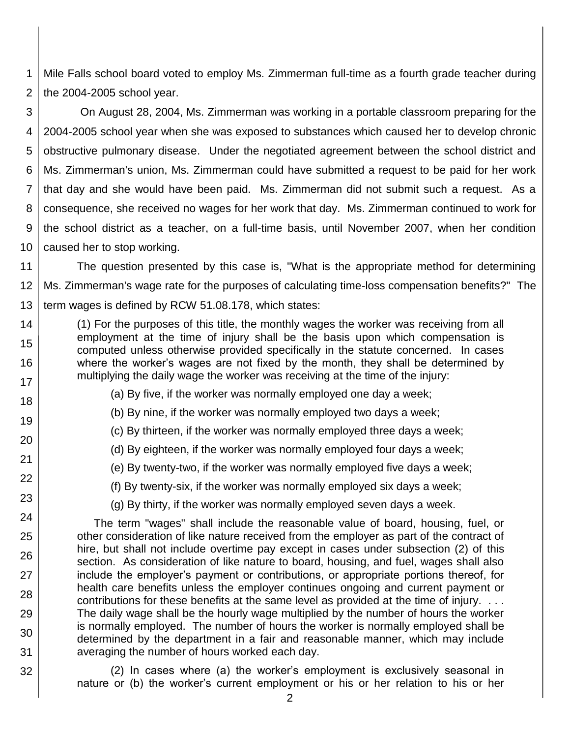1 2 Mile Falls school board voted to employ Ms. Zimmerman full-time as a fourth grade teacher during the 2004-2005 school year.

3 4 5 6 7 8 9 10 On August 28, 2004, Ms. Zimmerman was working in a portable classroom preparing for the 2004-2005 school year when she was exposed to substances which caused her to develop chronic obstructive pulmonary disease. Under the negotiated agreement between the school district and Ms. Zimmerman's union, Ms. Zimmerman could have submitted a request to be paid for her work that day and she would have been paid. Ms. Zimmerman did not submit such a request. As a consequence, she received no wages for her work that day. Ms. Zimmerman continued to work for the school district as a teacher, on a full-time basis, until November 2007, when her condition caused her to stop working.

11 12 13 The question presented by this case is, "What is the appropriate method for determining Ms. Zimmerman's wage rate for the purposes of calculating time-loss compensation benefits?" The term wages is defined by RCW 51.08.178, which states:

(1) For the purposes of this title, the monthly wages the worker was receiving from all employment at the time of injury shall be the basis upon which compensation is computed unless otherwise provided specifically in the statute concerned. In cases where the worker's wages are not fixed by the month, they shall be determined by multiplying the daily wage the worker was receiving at the time of the injury:

14

15

16

17 18

19

20

21

22

23

24

25

26

27

28

29

30

31

32

(a) By five, if the worker was normally employed one day a week;

(b) By nine, if the worker was normally employed two days a week;

(c) By thirteen, if the worker was normally employed three days a week;

(d) By eighteen, if the worker was normally employed four days a week;

(e) By twenty-two, if the worker was normally employed five days a week;

(f) By twenty-six, if the worker was normally employed six days a week;

(g) By thirty, if the worker was normally employed seven days a week.

The term "wages" shall include the reasonable value of board, housing, fuel, or other consideration of like nature received from the employer as part of the contract of hire, but shall not include overtime pay except in cases under subsection (2) of this section. As consideration of like nature to board, housing, and fuel, wages shall also include the employer's payment or contributions, or appropriate portions thereof, for health care benefits unless the employer continues ongoing and current payment or contributions for these benefits at the same level as provided at the time of injury. . . . The daily wage shall be the hourly wage multiplied by the number of hours the worker is normally employed. The number of hours the worker is normally employed shall be determined by the department in a fair and reasonable manner, which may include averaging the number of hours worked each day.

(2) In cases where (a) the worker's employment is exclusively seasonal in nature or (b) the worker's current employment or his or her relation to his or her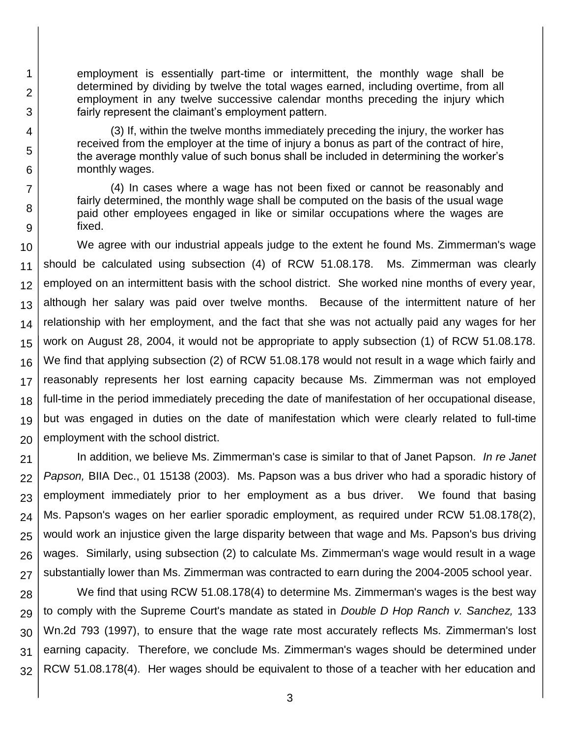employment is essentially part-time or intermittent, the monthly wage shall be determined by dividing by twelve the total wages earned, including overtime, from all employment in any twelve successive calendar months preceding the injury which fairly represent the claimant's employment pattern.

1

2

3

4

5

6

7

8

9

(3) If, within the twelve months immediately preceding the injury, the worker has received from the employer at the time of injury a bonus as part of the contract of hire, the average monthly value of such bonus shall be included in determining the worker's monthly wages.

(4) In cases where a wage has not been fixed or cannot be reasonably and fairly determined, the monthly wage shall be computed on the basis of the usual wage paid other employees engaged in like or similar occupations where the wages are fixed.

10 11 12 13 14 15 16 17 18 19 20 We agree with our industrial appeals judge to the extent he found Ms. Zimmerman's wage should be calculated using subsection (4) of RCW 51.08.178. Ms. Zimmerman was clearly employed on an intermittent basis with the school district. She worked nine months of every year, although her salary was paid over twelve months. Because of the intermittent nature of her relationship with her employment, and the fact that she was not actually paid any wages for her work on August 28, 2004, it would not be appropriate to apply subsection (1) of RCW 51.08.178. We find that applying subsection (2) of RCW 51.08.178 would not result in a wage which fairly and reasonably represents her lost earning capacity because Ms. Zimmerman was not employed full-time in the period immediately preceding the date of manifestation of her occupational disease, but was engaged in duties on the date of manifestation which were clearly related to full-time employment with the school district.

21 22 23 24 25 26 27 In addition, we believe Ms. Zimmerman's case is similar to that of Janet Papson. *In re Janet Papson,* BIIA Dec., 01 15138 (2003). Ms. Papson was a bus driver who had a sporadic history of employment immediately prior to her employment as a bus driver. We found that basing Ms. Papson's wages on her earlier sporadic employment, as required under RCW 51.08.178(2), would work an injustice given the large disparity between that wage and Ms. Papson's bus driving wages. Similarly, using subsection (2) to calculate Ms. Zimmerman's wage would result in a wage substantially lower than Ms. Zimmerman was contracted to earn during the 2004-2005 school year.

28 29 30 31 32 We find that using RCW 51.08.178(4) to determine Ms. Zimmerman's wages is the best way to comply with the Supreme Court's mandate as stated in *Double D Hop Ranch v. Sanchez,* 133 Wn.2d 793 (1997), to ensure that the wage rate most accurately reflects Ms. Zimmerman's lost earning capacity. Therefore, we conclude Ms. Zimmerman's wages should be determined under RCW 51.08.178(4). Her wages should be equivalent to those of a teacher with her education and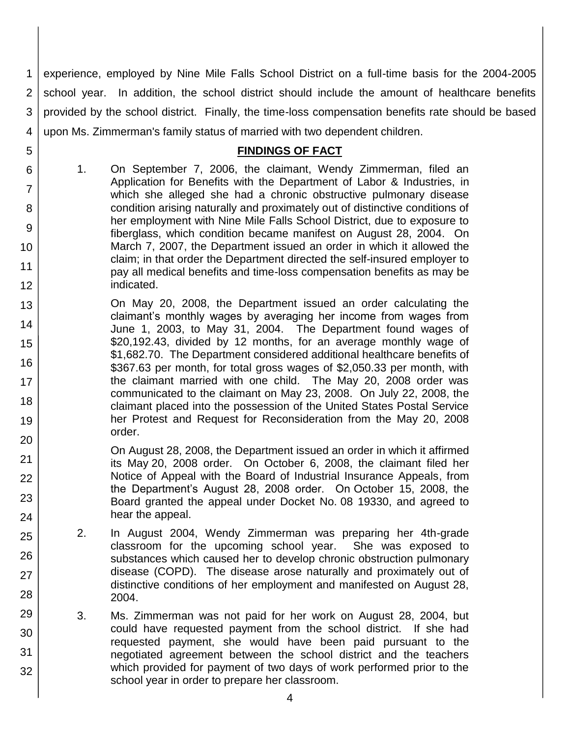1 2 3 4 experience, employed by Nine Mile Falls School District on a full-time basis for the 2004-2005 school year. In addition, the school district should include the amount of healthcare benefits provided by the school district. Finally, the time-loss compensation benefits rate should be based upon Ms. Zimmerman's family status of married with two dependent children.

#### **FINDINGS OF FACT**

1. On September 7, 2006, the claimant, Wendy Zimmerman, filed an Application for Benefits with the Department of Labor & Industries, in which she alleged she had a chronic obstructive pulmonary disease condition arising naturally and proximately out of distinctive conditions of her employment with Nine Mile Falls School District, due to exposure to fiberglass, which condition became manifest on August 28, 2004. On March 7, 2007, the Department issued an order in which it allowed the claim; in that order the Department directed the self-insured employer to pay all medical benefits and time-loss compensation benefits as may be indicated.

5

6

7

8

9

10

11

12

21 22

23

24

25

26

27

28

29

30

31

- 13 14 15 16 17 18 19 20 On May 20, 2008, the Department issued an order calculating the claimant's monthly wages by averaging her income from wages from June 1, 2003, to May 31, 2004. The Department found wages of \$20,192.43, divided by 12 months, for an average monthly wage of \$1,682.70. The Department considered additional healthcare benefits of \$367.63 per month, for total gross wages of \$2,050.33 per month, with the claimant married with one child. The May 20, 2008 order was communicated to the claimant on May 23, 2008. On July 22, 2008, the claimant placed into the possession of the United States Postal Service her Protest and Request for Reconsideration from the May 20, 2008 order.
	- On August 28, 2008, the Department issued an order in which it affirmed its May 20, 2008 order. On October 6, 2008, the claimant filed her Notice of Appeal with the Board of Industrial Insurance Appeals, from the Department's August 28, 2008 order. On October 15, 2008, the Board granted the appeal under Docket No. 08 19330, and agreed to hear the appeal.
	- 2. In August 2004, Wendy Zimmerman was preparing her 4th-grade classroom for the upcoming school year. She was exposed to substances which caused her to develop chronic obstruction pulmonary disease (COPD). The disease arose naturally and proximately out of distinctive conditions of her employment and manifested on August 28, 2004.
	- 3. Ms. Zimmerman was not paid for her work on August 28, 2004, but could have requested payment from the school district. If she had requested payment, she would have been paid pursuant to the negotiated agreement between the school district and the teachers which provided for payment of two days of work performed prior to the school year in order to prepare her classroom.